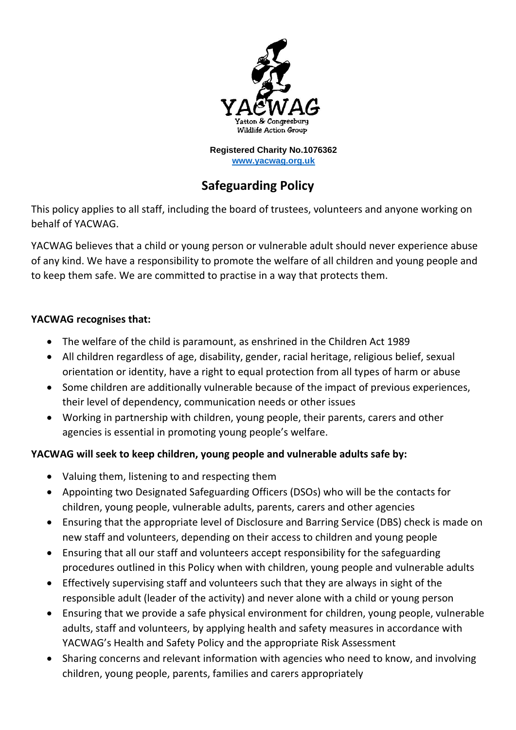

**Registered Charity No.1076362 [www.yacwag.org.uk](http://www.yacwag.org.uk/)**

## **Safeguarding Policy**

This policy applies to all staff, including the board of trustees, volunteers and anyone working on behalf of YACWAG.

YACWAG believes that a child or young person or vulnerable adult should never experience abuse of any kind. We have a responsibility to promote the welfare of all children and young people and to keep them safe. We are committed to practise in a way that protects them.

## **YACWAG recognises that:**

- The welfare of the child is paramount, as enshrined in the Children Act 1989
- All children regardless of age, disability, gender, racial heritage, religious belief, sexual orientation or identity, have a right to equal protection from all types of harm or abuse
- Some children are additionally vulnerable because of the impact of previous experiences, their level of dependency, communication needs or other issues
- Working in partnership with children, young people, their parents, carers and other agencies is essential in promoting young people's welfare.

## **YACWAG will seek to keep children, young people and vulnerable adults safe by:**

- Valuing them, listening to and respecting them
- Appointing two Designated Safeguarding Officers (DSOs) who will be the contacts for children, young people, vulnerable adults, parents, carers and other agencies
- Ensuring that the appropriate level of Disclosure and Barring Service (DBS) check is made on new staff and volunteers, depending on their access to children and young people
- Ensuring that all our staff and volunteers accept responsibility for the safeguarding procedures outlined in this Policy when with children, young people and vulnerable adults
- Effectively supervising staff and volunteers such that they are always in sight of the responsible adult (leader of the activity) and never alone with a child or young person
- Ensuring that we provide a safe physical environment for children, young people, vulnerable adults, staff and volunteers, by applying health and safety measures in accordance with YACWAG's Health and Safety Policy and the appropriate Risk Assessment
- Sharing concerns and relevant information with agencies who need to know, and involving children, young people, parents, families and carers appropriately